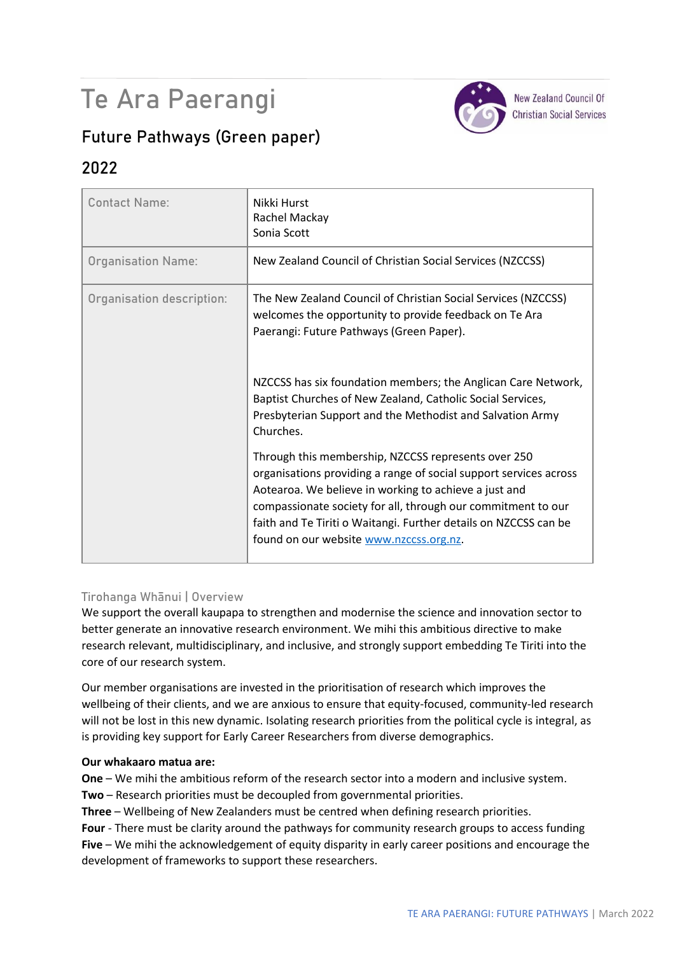# Te Ara Paerangi



**New Zealand Council Of Christian Social Services** 

## **Future Pathways (Green paper)**

### **2022**

| <b>Contact Name:</b>      | Nikki Hurst<br>Rachel Mackay<br>Sonia Scott                                                                                                                                                                                                                                                                                                                      |
|---------------------------|------------------------------------------------------------------------------------------------------------------------------------------------------------------------------------------------------------------------------------------------------------------------------------------------------------------------------------------------------------------|
| <b>Organisation Name:</b> | New Zealand Council of Christian Social Services (NZCCSS)                                                                                                                                                                                                                                                                                                        |
| Organisation description: | The New Zealand Council of Christian Social Services (NZCCSS)<br>welcomes the opportunity to provide feedback on Te Ara<br>Paerangi: Future Pathways (Green Paper).                                                                                                                                                                                              |
|                           | NZCCSS has six foundation members; the Anglican Care Network,<br>Baptist Churches of New Zealand, Catholic Social Services,<br>Presbyterian Support and the Methodist and Salvation Army<br>Churches.                                                                                                                                                            |
|                           | Through this membership, NZCCSS represents over 250<br>organisations providing a range of social support services across<br>Aotearoa. We believe in working to achieve a just and<br>compassionate society for all, through our commitment to our<br>faith and Te Tiriti o Waitangi. Further details on NZCCSS can be<br>found on our website www.nzccss.org.nz. |

#### **Tirohanga Whānui | Overview**

We support the overall kaupapa to strengthen and modernise the science and innovation sector to better generate an innovative research environment. We mihi this ambitious directive to make research relevant, multidisciplinary, and inclusive, and strongly support embedding Te Tiriti into the core of our research system.

Our member organisations are invested in the prioritisation of research which improves the wellbeing of their clients, and we are anxious to ensure that equity-focused, community-led research will not be lost in this new dynamic. Isolating research priorities from the political cycle is integral, as is providing key support for Early Career Researchers from diverse demographics.

#### **Our whakaaro matua are:**

**One** – We mihi the ambitious reform of the research sector into a modern and inclusive system.

**Two** – Research priorities must be decoupled from governmental priorities.

**Three** – Wellbeing of New Zealanders must be centred when defining research priorities.

**Four** - There must be clarity around the pathways for community research groups to access funding **Five** – We mihi the acknowledgement of equity disparity in early career positions and encourage the development of frameworks to support these researchers.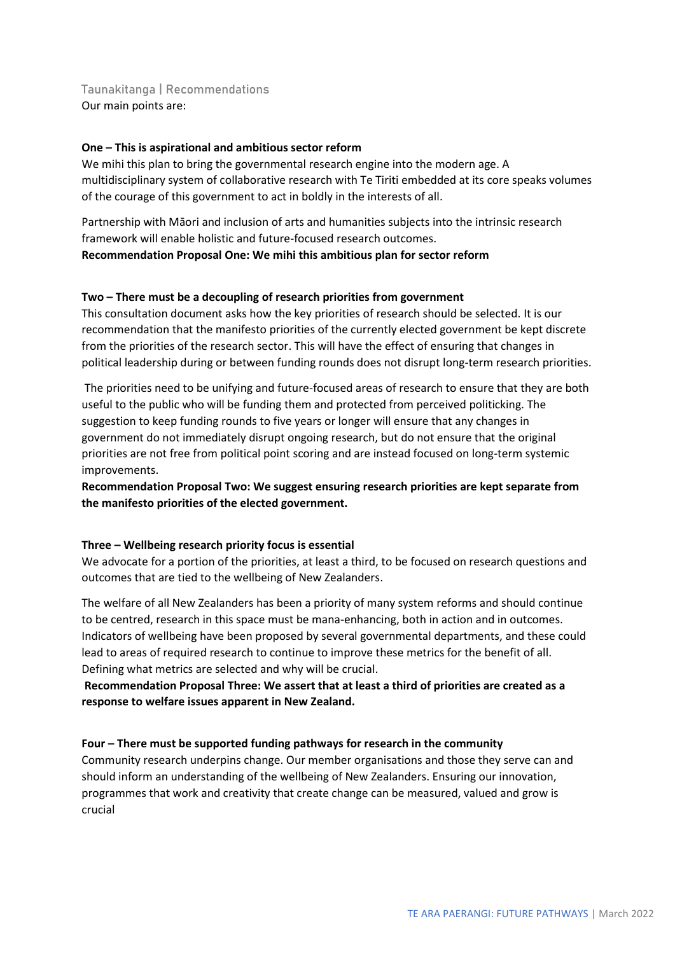**Taunakitanga | Recommendations** Our main points are:

#### **One – This is aspirational and ambitious sector reform**

We mihi this plan to bring the governmental research engine into the modern age. A multidisciplinary system of collaborative research with Te Tiriti embedded at its core speaks volumes of the courage of this government to act in boldly in the interests of all.

Partnership with Māori and inclusion of arts and humanities subjects into the intrinsic research framework will enable holistic and future-focused research outcomes. **Recommendation Proposal One: We mihi this ambitious plan for sector reform**

#### **Two – There must be a decoupling of research priorities from government**

This consultation document asks how the key priorities of research should be selected. It is our recommendation that the manifesto priorities of the currently elected government be kept discrete from the priorities of the research sector. This will have the effect of ensuring that changes in political leadership during or between funding rounds does not disrupt long-term research priorities.

The priorities need to be unifying and future-focused areas of research to ensure that they are both useful to the public who will be funding them and protected from perceived politicking. The suggestion to keep funding rounds to five years or longer will ensure that any changes in government do not immediately disrupt ongoing research, but do not ensure that the original priorities are not free from political point scoring and are instead focused on long-term systemic improvements.

**Recommendation Proposal Two: We suggest ensuring research priorities are kept separate from the manifesto priorities of the elected government.**

#### **Three – Wellbeing research priority focus is essential**

We advocate for a portion of the priorities, at least a third, to be focused on research questions and outcomes that are tied to the wellbeing of New Zealanders.

The welfare of all New Zealanders has been a priority of many system reforms and should continue to be centred, research in this space must be mana-enhancing, both in action and in outcomes. Indicators of wellbeing have been proposed by several governmental departments, and these could lead to areas of required research to continue to improve these metrics for the benefit of all. Defining what metrics are selected and why will be crucial.

#### **Recommendation Proposal Three: We assert that at least a third of priorities are created as a response to welfare issues apparent in New Zealand.**

#### **Four – There must be supported funding pathways for research in the community**

Community research underpins change. Our member organisations and those they serve can and should inform an understanding of the wellbeing of New Zealanders. Ensuring our innovation, programmes that work and creativity that create change can be measured, valued and grow is crucial